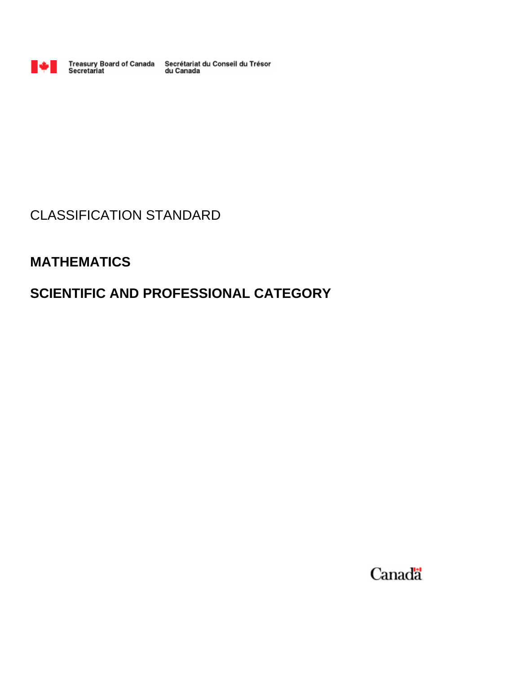

Treasury Board of Canada Secrétariat du Conseil du Trésor<br>Secretariat du Canada

# CLASSIFICATION STANDARD

# **MATHEMATICS**

# **SCIENTIFIC AND PROFESSIONAL CATEGORY**

Canada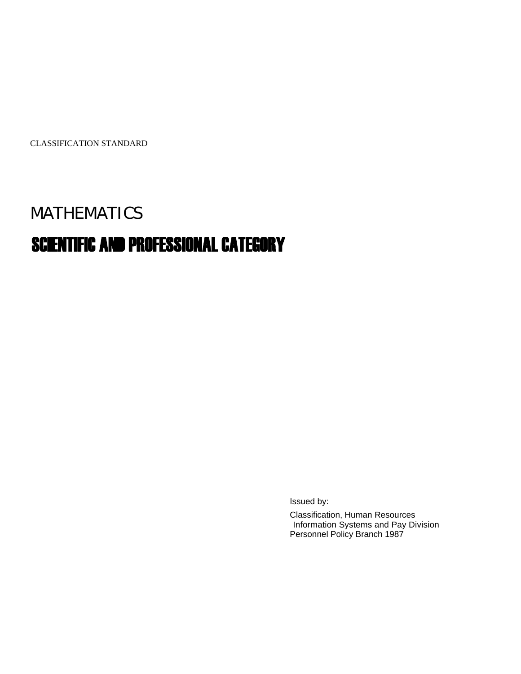CLASSIFICATION STANDARD

# MATHEMATICS

# SCIENTIFIC AND PROFESSIONAL CATEGORY

Issued by:

Classification, Human Resources Information Systems and Pay Division Personnel Policy Branch 1987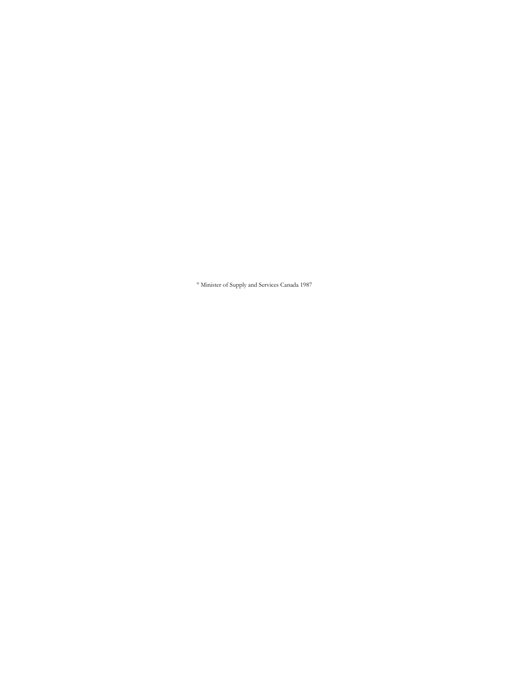° Minister of Supply and Services Canada 1987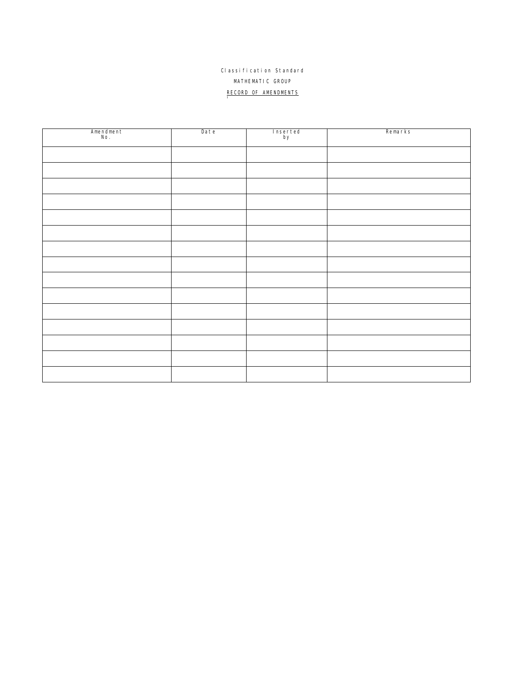# Classification Standard MATHEMATIC GROUP RECORD OF AMENDMENTS

| Amendment<br>No. | Date | Inserted<br>by | Remarks |
|------------------|------|----------------|---------|
|                  |      |                |         |
|                  |      |                |         |
|                  |      |                |         |
|                  |      |                |         |
|                  |      |                |         |
|                  |      |                |         |
|                  |      |                |         |
|                  |      |                |         |
|                  |      |                |         |
|                  |      |                |         |
|                  |      |                |         |
|                  |      |                |         |
|                  |      |                |         |
|                  |      |                |         |
|                  |      |                |         |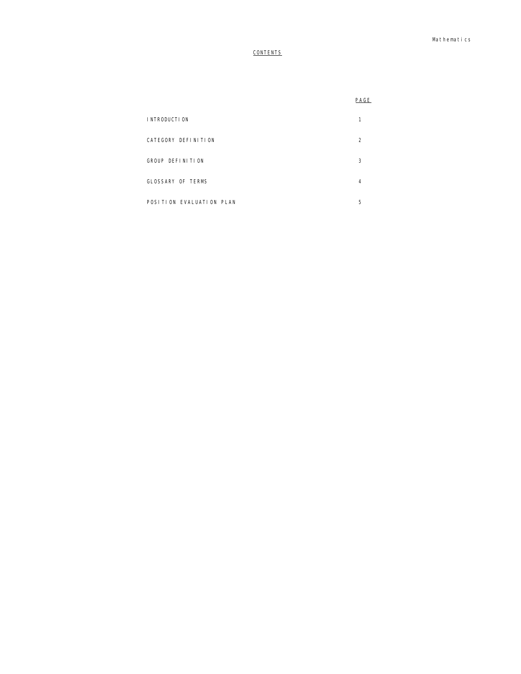# **CONTENTS**

| PAGE |
|------|

| <b>INTRODUCTION</b>      |   |
|--------------------------|---|
| CATEGORY DEFINITION      |   |
| GROUP DEFINITION         | 3 |
| GLOSSARY OF TERMS        | 4 |
| POSITION EVALUATION PLAN | 5 |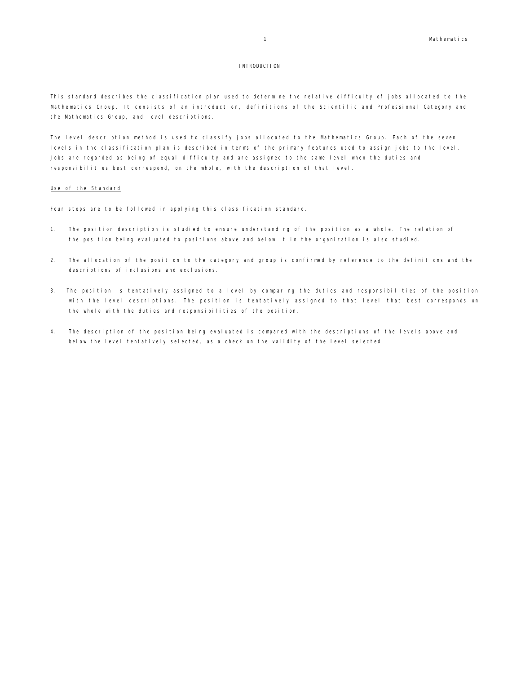#### INTRODUCTION

This standard describes the classification plan used to determine the relative difficulty of jobs allocated to the Mathematics Croup. It consists of an introduction, definitions of the Scientific and Professional Category and the Mathematics Group, and level descriptions.

The level description method is used to classify jobs allocated to the Mathematics Group. Each of the seven levels in the classification plan is described in terms of the primary features used to assign jobs to the level. Jobs are regarded as being of equal difficulty and are assigned to the same level when the duties and responsibilities best correspond, on the whole, with the description of that level.

#### Use of the Standard

Four steps are to be followed in applying this classification standard.

- 1. The position description is studied to ensure understanding of the position as a whole. The relation of the position being evaluated to positions above and below it in the organization is also studied.
- 2. The allocation of the position to the category and group is confirmed by reference to the definitions and the descriptions of inclusions and exclusions.
- 3. The position is tentatively assigned to a level by comparing the duties and responsibilities of the position with the level descriptions. The position is tentatively assigned to that level that best corresponds on the whole with the duties and responsibilities of the position.
- 4. The description of the position being evaluated is compared with the descriptions of the levels above and below the level tentatively selected, as a check on the validity of the level selected.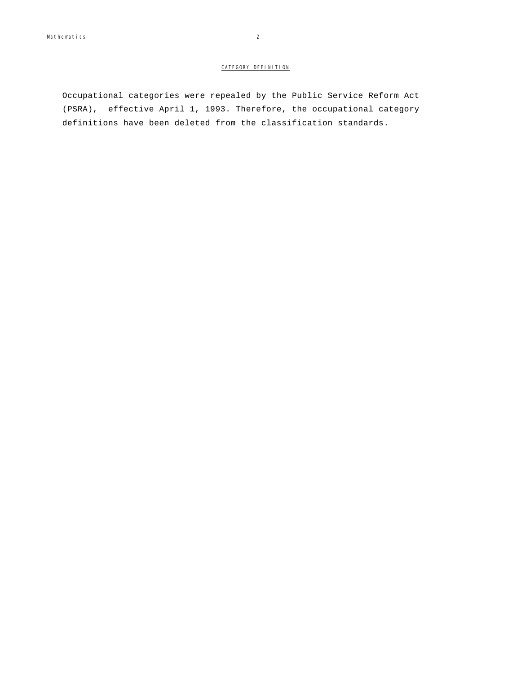## CATEGORY DEFINITION

Occupational categories were repealed by the Public Service Reform Act (PSRA), effective April 1, 1993. Therefore, the occupational category definitions have been deleted from the classification standards.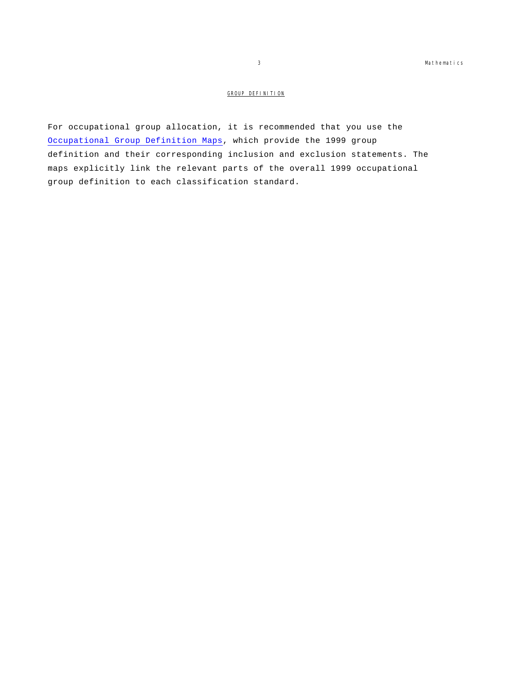# GROUP DEFINITION

For occupational group allocation, it is recommended that you use the Occupational Group Definition Maps, which provide the 1999 group definition and their corresponding inclusion and exclusion statements. The maps explicitly link the relevant parts of the overall 1999 occupational group definition to each classification standard.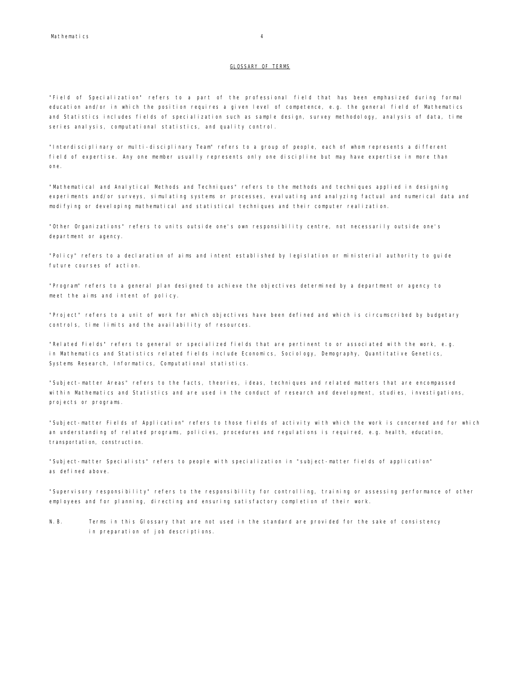#### GLOSSARY OF TERMS

"Field of Specialization" refers to a part of the professional field that has been emphasized during formal education and/or in which the position requires a given level of competence, e.g. the general field of Mathematics and Statistics includes fields of specialization such as sample design, survey methodology, analysis of data, time series analysis, computational statistics, and quality control.

"Interdisciplinary or multi-disciplinary Team" refers to a group of people, each of whom represents a different field of expertise. Any one member usually represents only one discipline but may have expertise in more than one.

"Mathematical and Analytical Methods and Techniques" refers to the methods and techniques applied in designing experiments and/or surveys, simulating systems or processes, evaluating and analyzing factual and numerical data and modifying or developing mathematical and statistical techniques and their computer realization.

"Other Organizations" refers to units outside one's own responsibility centre, not necessarily outside one's department or agency.

"Policy" refers to a declaration of aims and intent established by legislation or ministerial authority to guide future courses of action.

"Program" refers to a general plan designed to achieve the objectives determined by a department or agency to meet the aims and intent of policy.

"Project" refers to a unit of work for which objectives have been defined and which is circumscribed by budgetary controls, time limits and the availability of resources.

"Related Fields" refers to general or specialized fields that are pertinent to or associated with the work, e.g. in Mathematics and Statistics related fields include Economics, Sociology, Demography, Quantitative Genetics, Systems Research, Informatics, Computational statistics.

"Subject-matter Areas" refers to the facts, theories, ideas, techniques and related matters that are encompassed within Mathematics and Statistics and are used in the conduct of research and development, studies, investigations, projects or programs.

"Subject-matter Fields of Application" refers to those fields of activity with which the work is concerned and for which an understanding of related programs, policies, procedures and regulations is required, e.g. health, education, transportation, construction.

"Subject-matter Specialists" refers to people with specialization in "subject-matter fields of application" as defined above.

"Supervisory responsibility" refers to the responsibility for controlling, training or assessing performance of other employees and for planning, directing and ensuring satisfactory completion of their work.

N.B. Terms in this Glossary that are not used in the standard are provided for the sake of consistency in preparation of job descriptions.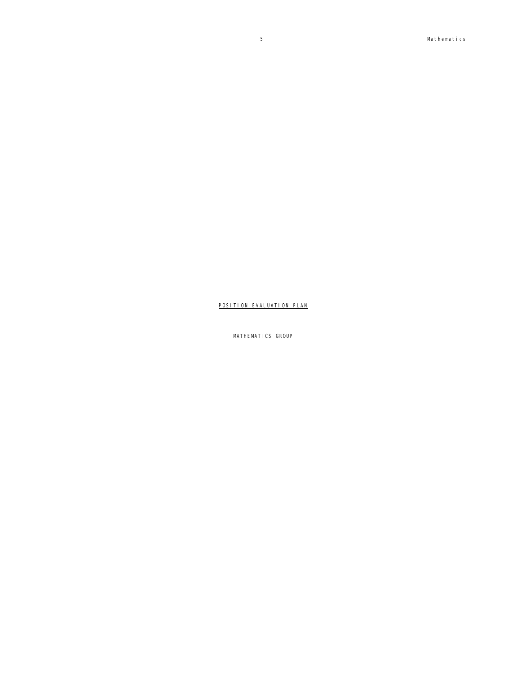MATHEMATICS GROUP

POSITION EVALUATION PLAN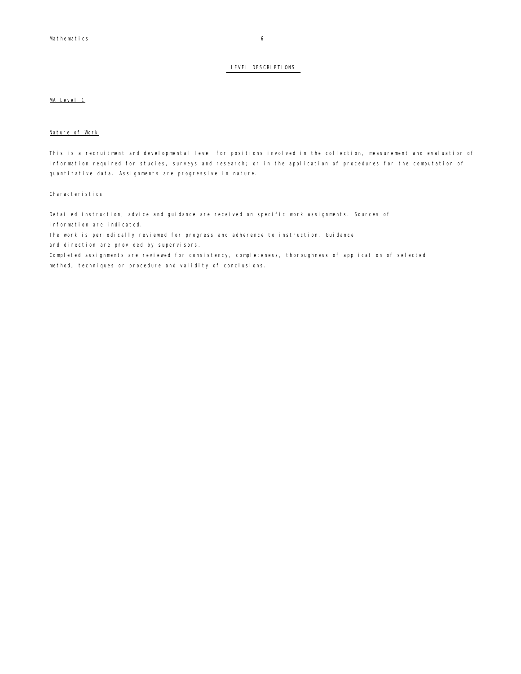### LEVEL DESCRIPTIONS

## MA Level 1

#### Nature of Work

This is a recruitment and developmental level for positions involved in the collection, measurement and evaluation of information required for studies, surveys and research; or in the application of procedures for the computation of quantitative data. Assignments are progressive in nature.

#### Characteristics

Detailed instruction, advice and guidance are received on specific work assignments. Sources of information are indicated.

The work is periodically reviewed for progress and adherence to instruction. Guidance and direction are provided by supervisors.

Completed assignments are reviewed for consistency, completeness, thoroughness of application of selected method, techniques or procedure and validity of conclusions.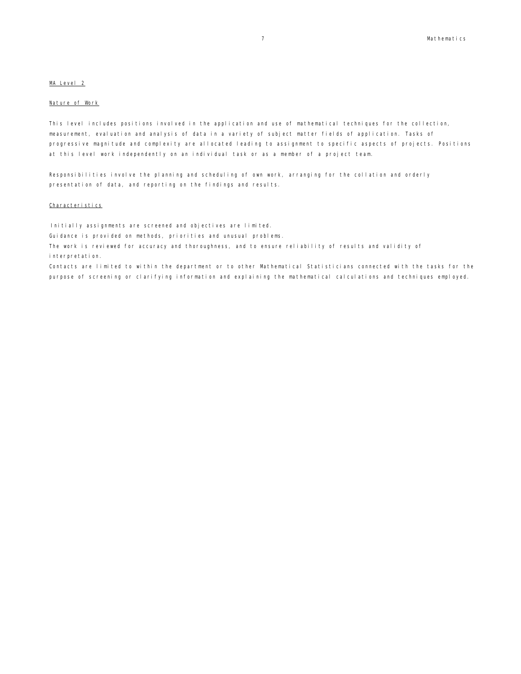### MA Level 2

#### Nature of Work

This level includes positions involved in the application and use of mathematical techniques for the collection, measurement, evaluation and analysis of data in a variety of subject matter fields of application. Tasks of progressive magnitude and complexity are allocated leading to assignment to specific aspects of projects. Positions at this level work independently on an individual task or as a member of a project team.

Responsibilities involve the planning and scheduling of own work, arranging for the collation and orderly presentation of data, and reporting on the findings and results.

## Characteristics

Initially assignments are screened and objectives are limited.

Guidance is provided on methods, priorities and unusual problems.

The work is reviewed for accuracy and thoroughness, and to ensure reliability of results and validity of interpretation.

Contacts are limited to within the department or to other Mathematical Statisticians connected with the tasks for the purpose of screening or clarifying information and explaining the mathematical calculations and techniques employed.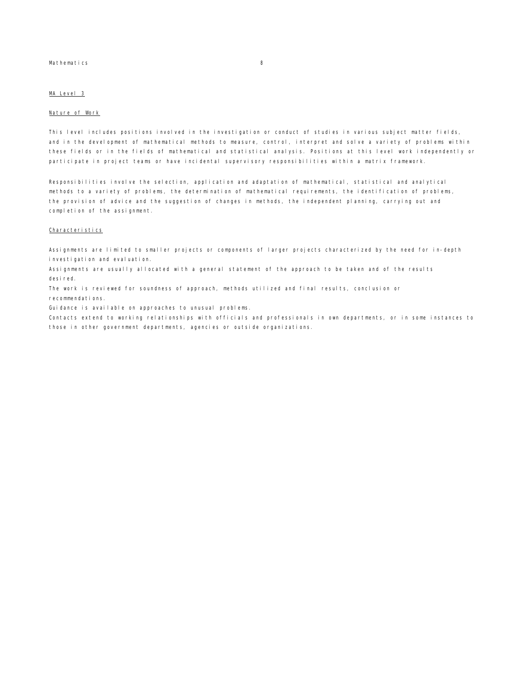#### Mathematics 8

### MA Level 3

### Nature of Work

This level includes positions involved in the investigation or conduct of studies in various subject matter fields, and in the development of mathematical methods to measure, control, interpret and solve a variety of problems within these fields or in the fields of mathematical and statistical analysis. Positions at this level work independently or participate in project teams or have incidental supervisory responsibilities within a matrix framework.

Responsibilities involve the selection, application and adaptation of mathematical, statistical and analytical methods to a variety of problems, the determination of mathematical requirements, the identification of problems, the provision of advice and the suggestion of changes in methods, the independent planning, carrying out and completion of the assignment.

#### Characteristics

Assignments are limited to smaller projects or components of larger projects characterized by the need for in-depth investigation and evaluation.

Assignments are usually allocated with a general statement of the approach to be taken and of the results desired.

The work is reviewed for soundness of approach, methods utilized and final results, conclusion or recommendations.

Guidance is available on approaches to unusual problems.

Contacts extend to working relationships with officials and professionals in own departments, or in some instances to those in other government departments, agencies or outside organizations.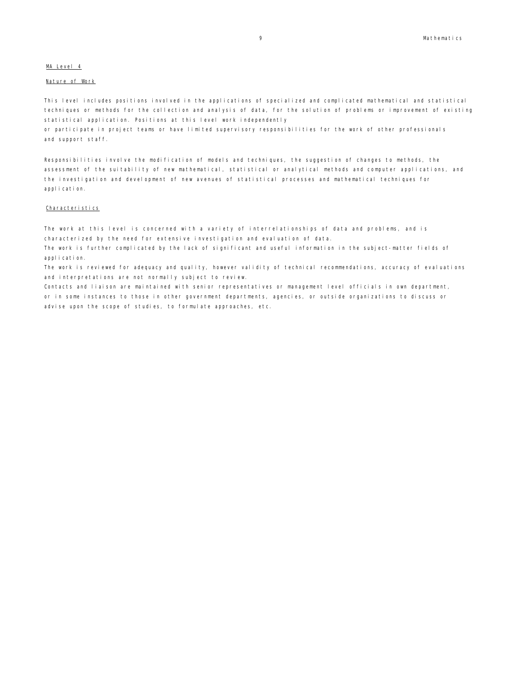## MA Level 4

### Nature of Work

This level includes positions involved in the applications of specialized and complicated mathematical and statistical techniques or methods for the collection and analysis of data, for the solution of problems or improvement of existing statistical application. Positions at this level work independently

or participate in project teams or have limited supervisory responsibilities for the work of other professionals and support staff.

Responsibilities involve the modification of models and techniques, the suggestion of changes to methods, the assessment of the suitability of new mathematical, statistical or analytical methods and computer applications, and the investigation and development of new avenues of statistical processes and mathematical techniques for application.

#### Characteristics

The work at this level is concerned with a variety of interrelationships of data and problems, and is characterized by the need for extensive investigation and evaluation of data.

The work is further complicated by the lack of significant and useful information in the subject-matter fields of application.

The work is reviewed for adequacy and quality, however validity of technical recommendations, accuracy of evaluations and interpretations are not normally subject to review.

Contacts and liaison are maintained with senior representatives or management level officials in own department, or in some instances to those in other government departments, agencies, or outside organizations to discuss or advise upon the scope of studies, to formulate approaches, etc.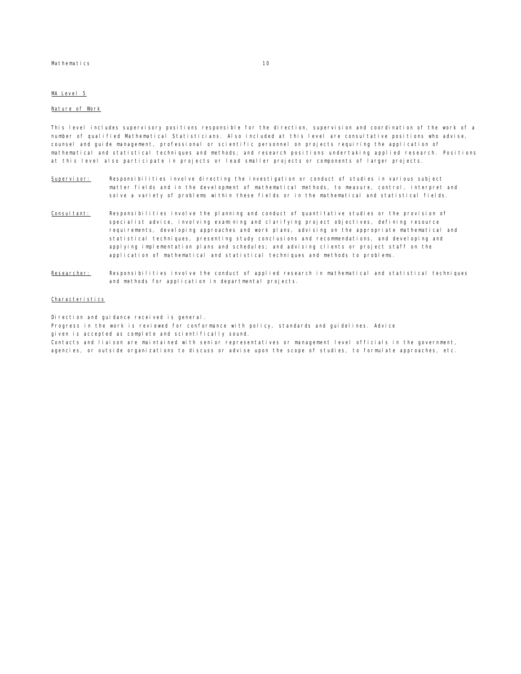#### Mathematics 10

## MA Level 5

#### Nature of Work

This level includes supervisory positions responsible for the direction, supervision and coordination of the work of a number of qualified Mathematical Statisticians. Also included at this level are consultative positions who advise, counsel and guide management, professional or scientific personnel on projects requiring the application of mathematical and statistical techniques and methods; and research positions undertaking applied research. Positions at this level also participate in projects or lead smaller projects or components of larger projects.

- Supervisor: Responsibilities involve directing the investigation or conduct of studies in various subject matter fields and in the development of mathematical methods, to measure, control, interpret and solve a variety of problems within these fields or in the mathematical and statistical fields.
- Consultant: Responsibilities involve the planning and conduct of quantitative studies or the provision of specialist advice, involving examining and clarifying project objectives, defining resource requirements, developing approaches and work plans, advising on the appropriate mathematical and statistical techniques, presenting study conclusions and recommendations, and developing and applying implementation plans and schedules; and advising clients or project staff on the application of mathematical and statistical techniques and methods to problems.
- Researcher: Responsibilities involve the conduct of applied research in mathematical and statistical techniques and methods for application in departmental projects.

#### Characteristics

Direction and quidance received is general.

Progress in the work is reviewed for conformance with policy, standards and guidelines. Advice

given is accepted as complete and scientifically sound.

Contacts and liaison are maintained with senior representatives or management level officials in the government, agencies, or outside organizations to discuss or advise upon the scope of studies, to formulate approaches, etc.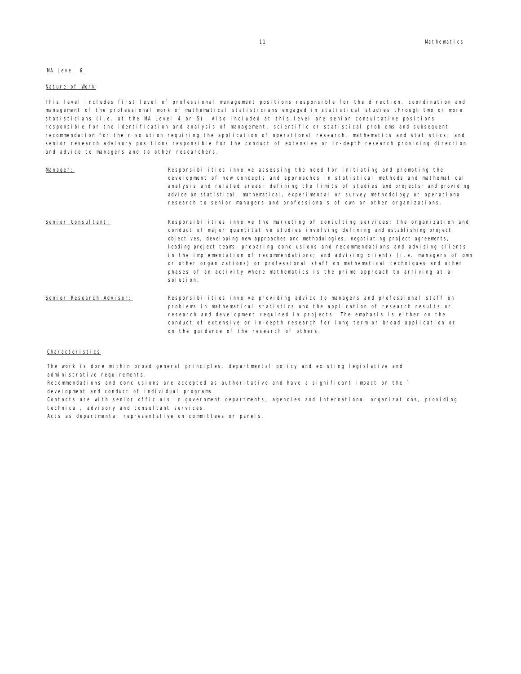### MA Level 6

#### Nature of Work

This level includes first level of professional management positions responsible for the direction, coordination and management of the professional work of mathematical statisticians engaged in statistical studies through two or more statisticians (i.e. at the MA Level 4 or 5). Also included at this level are senior consultative positions responsible for the identification and analysis of management, scientific or statistical problems and subsequent recommendation for their solution requiring the application of operational research, mathematics and statistics; and senior research advisory positions responsible for the conduct of extensive or in-depth research providing direction and advice to managers and to other researchers.

| Manager:                  | Responsibilities involve assessing the need for initiating and promoting the<br>development of new concepts and approaches in statistical methods and mathematical<br>analysis and related areas; defining the limits of studies and projects; and providing<br>advice on statistical, mathematical, experimental or survey methodology or operational<br>research to senior managers and professionals of own or other organizations.                                                                                                                                                                                                     |
|---------------------------|--------------------------------------------------------------------------------------------------------------------------------------------------------------------------------------------------------------------------------------------------------------------------------------------------------------------------------------------------------------------------------------------------------------------------------------------------------------------------------------------------------------------------------------------------------------------------------------------------------------------------------------------|
| Senior Consultant:        | Responsibilities involve the marketing of consulting services; the organization and<br>conduct of major quantitative studies involving defining and establishing project<br>objectives, developing new approaches and methodologies, negotiating project agreements,<br>leading project teams, preparing conclusions and recommendations and advising clients<br>in the implementation of recommendations; and advising clients (i.e. managers of own<br>or other organizations) or professional staff on mathematical techniques and other<br>phases of an activity where mathematics is the prime approach to arriving at a<br>solution. |
| Seni or Research Advisor: | Responsibilities involve providing advice to managers and professional staff on<br>problems in mathematical statistics and the application of research results or<br>research and development required in projects. The emphasis is either on the<br>conduct of extensive or in-depth research for long term or broad application or<br>on the quidance of the research of others.                                                                                                                                                                                                                                                         |

## Characteristics

The work is done within broad general principles, departmental policy and existing legislative and administrative requirements.

Recommendations and conclusions are accepted as authoritative and have a significant impact on the `

devel opment and conduct of individual programs.

Contacts are with senior officials in government departments, agencies and international organizations, providing technical, advisory and consultant services.

Acts as departmental representative on committees or panels.